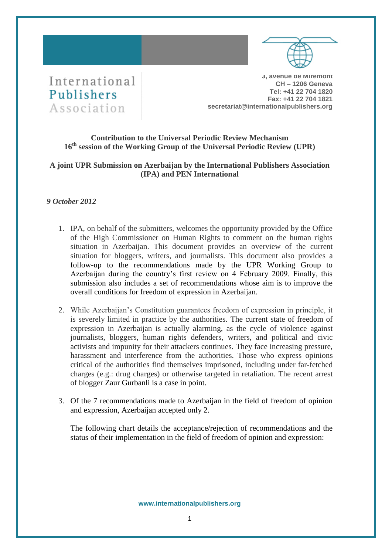



**3, avenue de Miremont CH – 1206 Geneva Tel: +41 22 704 1820 Fax: +41 22 704 1821 secretariat@internationalpublishers.org**

## **Contribution to the Universal Periodic Review Mechanism 16th session of the Working Group of the Universal Periodic Review (UPR)**

## **A joint UPR Submission on Azerbaijan by the International Publishers Association (IPA) and PEN International**

## *9 October 2012*

- 1. IPA, on behalf of the submitters, welcomes the opportunity provided by the Office of the High Commissioner on Human Rights to comment on the human rights situation in Azerbaijan. This document provides an overview of the current situation for bloggers, writers, and journalists. This document also provides a follow-up to the recommendations made by the UPR Working Group to Azerbaijan during the country's first review on 4 February 2009. Finally, this submission also includes a set of recommendations whose aim is to improve the overall conditions for freedom of expression in Azerbaijan.
- 2. While Azerbaijan's Constitution guarantees freedom of expression in principle, it is severely limited in practice by the authorities. The current state of freedom of expression in Azerbaijan is actually alarming, as the cycle of violence against journalists, bloggers, human rights defenders, writers, and political and civic activists and impunity for their attackers continues. They face increasing pressure, harassment and interference from the authorities. Those who express opinions critical of the authorities find themselves imprisoned, including under far-fetched charges (e.g.: drug charges) or otherwise targeted in retaliation. The recent arrest of blogger Zaur Gurbanli is a case in point.
- 3. Of the 7 recommendations made to Azerbaijan in the field of freedom of opinion and expression, Azerbaijan accepted only 2.

The following chart details the acceptance/rejection of recommendations and the status of their implementation in the field of freedom of opinion and expression:

**www.internationalpublishers.org**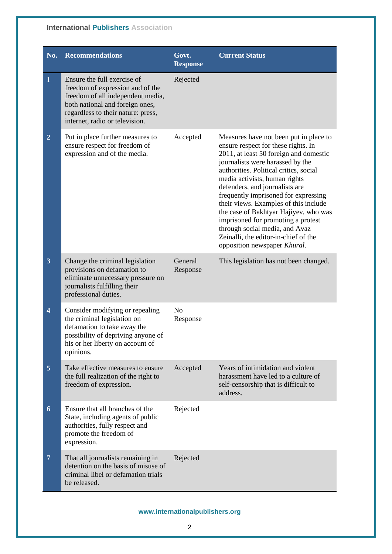# **International Publishers Association**

| No.                     | <b>Recommendations</b>                                                                                                                                                                                          | Govt.<br><b>Response</b>   | <b>Current Status</b>                                                                                                                                                                                                                                                                                                                                                                                                                                                                                                                              |
|-------------------------|-----------------------------------------------------------------------------------------------------------------------------------------------------------------------------------------------------------------|----------------------------|----------------------------------------------------------------------------------------------------------------------------------------------------------------------------------------------------------------------------------------------------------------------------------------------------------------------------------------------------------------------------------------------------------------------------------------------------------------------------------------------------------------------------------------------------|
| $\mathbf{1}$            | Ensure the full exercise of<br>freedom of expression and of the<br>freedom of all independent media,<br>both national and foreign ones,<br>regardless to their nature: press,<br>internet, radio or television. | Rejected                   |                                                                                                                                                                                                                                                                                                                                                                                                                                                                                                                                                    |
| $\overline{2}$          | Put in place further measures to<br>ensure respect for freedom of<br>expression and of the media.                                                                                                               | Accepted                   | Measures have not been put in place to<br>ensure respect for these rights. In<br>2011, at least 50 foreign and domestic<br>journalists were harassed by the<br>authorities. Political critics, social<br>media activists, human rights<br>defenders, and journalists are<br>frequently imprisoned for expressing<br>their views. Examples of this include<br>the case of Bakhtyar Hajiyev, who was<br>imprisoned for promoting a protest<br>through social media, and Avaz<br>Zeinalli, the editor-in-chief of the<br>opposition newspaper Khural. |
| $\overline{\mathbf{3}}$ | Change the criminal legislation<br>provisions on defamation to<br>eliminate unnecessary pressure on<br>journalists fulfilling their<br>professional duties.                                                     | General<br>Response        | This legislation has not been changed.                                                                                                                                                                                                                                                                                                                                                                                                                                                                                                             |
| $\overline{\mathbf{4}}$ | Consider modifying or repealing<br>the criminal legislation on<br>defamation to take away the<br>possibility of depriving anyone of<br>his or her liberty on account of<br>opinions.                            | N <sub>o</sub><br>Response |                                                                                                                                                                                                                                                                                                                                                                                                                                                                                                                                                    |
| 5                       | Take effective measures to ensure<br>the full realization of the right to<br>freedom of expression.                                                                                                             | Accepted                   | Years of intimidation and violent<br>harassment have led to a culture of<br>self-censorship that is difficult to<br>address.                                                                                                                                                                                                                                                                                                                                                                                                                       |
| 6                       | Ensure that all branches of the<br>State, including agents of public<br>authorities, fully respect and<br>promote the freedom of<br>expression.                                                                 | Rejected                   |                                                                                                                                                                                                                                                                                                                                                                                                                                                                                                                                                    |
| $\overline{7}$          | That all journalists remaining in<br>detention on the basis of misuse of<br>criminal libel or defamation trials<br>be released.                                                                                 | Rejected                   |                                                                                                                                                                                                                                                                                                                                                                                                                                                                                                                                                    |

## **www.internationalpublishers.org**